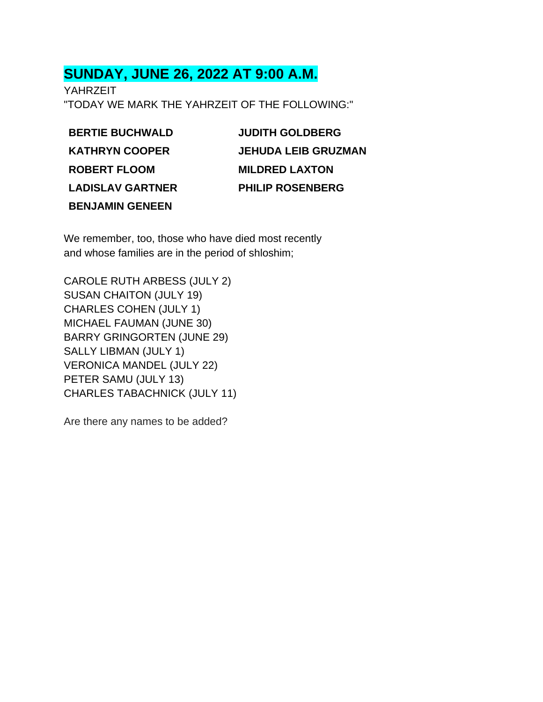# **SUNDAY, JUNE 26, 2022 AT 9:00 A.M.**

YAHRZEIT "TODAY WE MARK THE YAHRZEIT OF THE FOLLOWING:"

**BERTIE BUCHWALD KATHRYN COOPER ROBERT FLOOM LADISLAV GARTNER BENJAMIN GENEEN**

**JUDITH GOLDBERG JEHUDA LEIB GRUZMAN MILDRED LAXTON PHILIP ROSENBERG**

We remember, too, those who have died most recently and whose families are in the period of shloshim;

CAROLE RUTH ARBESS (JULY 2) SUSAN CHAITON (JULY 19) CHARLES COHEN (JULY 1) MICHAEL FAUMAN (JUNE 30) BARRY GRINGORTEN (JUNE 29) SALLY LIBMAN (JULY 1) VERONICA MANDEL (JULY 22) PETER SAMU (JULY 13) CHARLES TABACHNICK (JULY 11)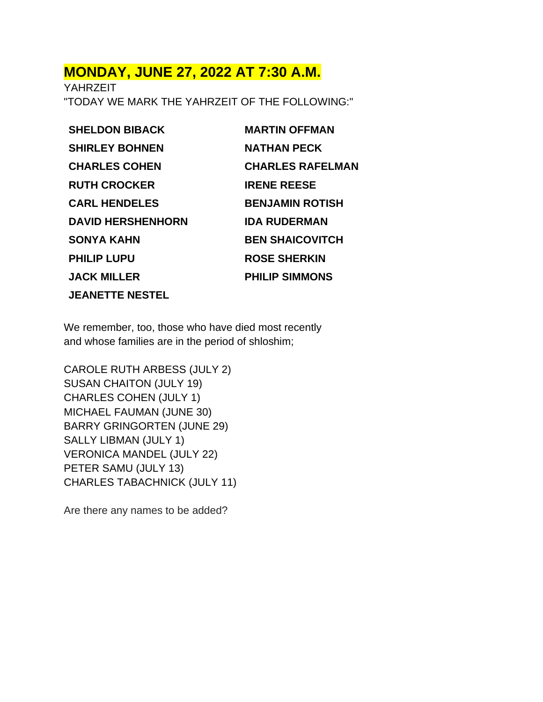# **MONDAY, JUNE 27, 2022 AT 7:30 A.M.**

YAHRZEIT "TODAY WE MARK THE YAHRZEIT OF THE FOLLOWING:"

**SHELDON BIBACK SHIRLEY BOHNEN CHARLES COHEN RUTH CROCKER CARL HENDELES DAVID HERSHENHORN SONYA KAHN PHILIP LUPU JACK MILLER JEANETTE NESTEL**

**MARTIN OFFMAN NATHAN PECK CHARLES RAFELMAN IRENE REESE BENJAMIN ROTISH IDA RUDERMAN BEN SHAICOVITCH ROSE SHERKIN PHILIP SIMMONS**

We remember, too, those who have died most recently and whose families are in the period of shloshim;

CAROLE RUTH ARBESS (JULY 2) SUSAN CHAITON (JULY 19) CHARLES COHEN (JULY 1) MICHAEL FAUMAN (JUNE 30) BARRY GRINGORTEN (JUNE 29) SALLY LIBMAN (JULY 1) VERONICA MANDEL (JULY 22) PETER SAMU (JULY 13) CHARLES TABACHNICK (JULY 11)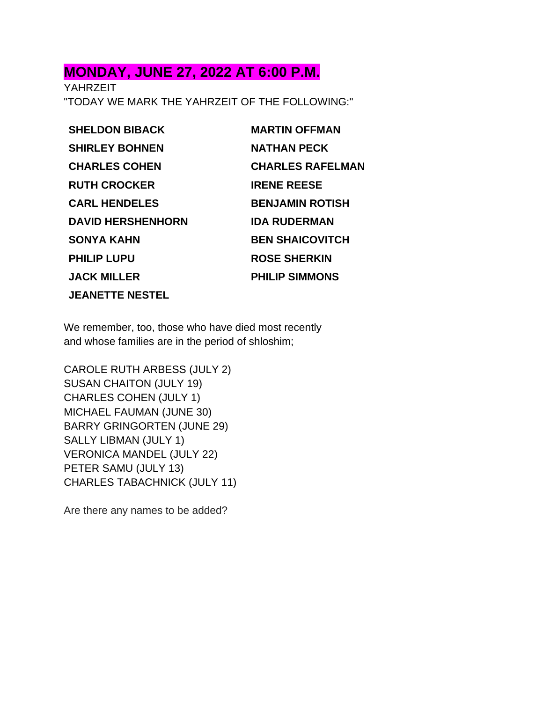# **MONDAY, JUNE 27, 2022 AT 6:00 P.M.**

**YAHRZEIT** "TODAY WE MARK THE YAHRZEIT OF THE FOLLOWING:"

**SHELDON BIBACK SHIRLEY BOHNEN CHARLES COHEN RUTH CROCKER CARL HENDELES DAVID HERSHENHORN SONYA KAHN PHILIP LUPU JACK MILLER JEANETTE NESTEL**

**MARTIN OFFMAN NATHAN PECK CHARLES RAFELMAN IRENE REESE BENJAMIN ROTISH IDA RUDERMAN BEN SHAICOVITCH ROSE SHERKIN PHILIP SIMMONS**

We remember, too, those who have died most recently and whose families are in the period of shloshim;

CAROLE RUTH ARBESS (JULY 2) SUSAN CHAITON (JULY 19) CHARLES COHEN (JULY 1) MICHAEL FAUMAN (JUNE 30) BARRY GRINGORTEN (JUNE 29) SALLY LIBMAN (JULY 1) VERONICA MANDEL (JULY 22) PETER SAMU (JULY 13) CHARLES TABACHNICK (JULY 11)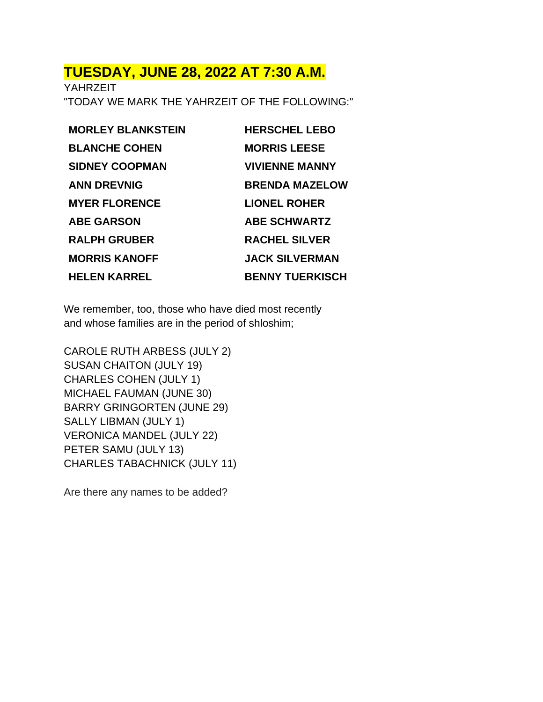### **TUESDAY, JUNE 28, 2022 AT 7:30 A.M.**

YAHRZEIT "TODAY WE MARK THE YAHRZEIT OF THE FOLLOWING:"

**MORLEY BLANKSTEIN BLANCHE COHEN SIDNEY COOPMAN ANN DREVNIG MYER FLORENCE ABE GARSON RALPH GRUBER MORRIS KANOFF HELEN KARREL**

**HERSCHEL LEBO MORRIS LEESE VIVIENNE MANNY BRENDA MAZELOW LIONEL ROHER ABE SCHWARTZ RACHEL SILVER JACK SILVERMAN BENNY TUERKISCH**

We remember, too, those who have died most recently and whose families are in the period of shloshim;

CAROLE RUTH ARBESS (JULY 2) SUSAN CHAITON (JULY 19) CHARLES COHEN (JULY 1) MICHAEL FAUMAN (JUNE 30) BARRY GRINGORTEN (JUNE 29) SALLY LIBMAN (JULY 1) VERONICA MANDEL (JULY 22) PETER SAMU (JULY 13) CHARLES TABACHNICK (JULY 11)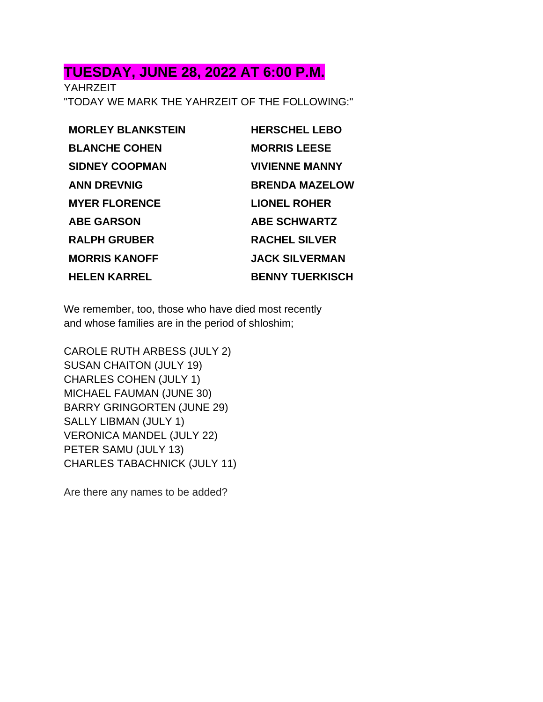### **TUESDAY, JUNE 28, 2022 AT 6:00 P.M.**

YAHRZEIT "TODAY WE MARK THE YAHRZEIT OF THE FOLLOWING:"

**MORLEY BLANKSTEIN BLANCHE COHEN SIDNEY COOPMAN ANN DREVNIG MYER FLORENCE ABE GARSON RALPH GRUBER MORRIS KANOFF HELEN KARREL**

**HERSCHEL LEBO MORRIS LEESE VIVIENNE MANNY BRENDA MAZELOW LIONEL ROHER ABE SCHWARTZ RACHEL SILVER JACK SILVERMAN BENNY TUERKISCH**

We remember, too, those who have died most recently and whose families are in the period of shloshim;

CAROLE RUTH ARBESS (JULY 2) SUSAN CHAITON (JULY 19) CHARLES COHEN (JULY 1) MICHAEL FAUMAN (JUNE 30) BARRY GRINGORTEN (JUNE 29) SALLY LIBMAN (JULY 1) VERONICA MANDEL (JULY 22) PETER SAMU (JULY 13) CHARLES TABACHNICK (JULY 11)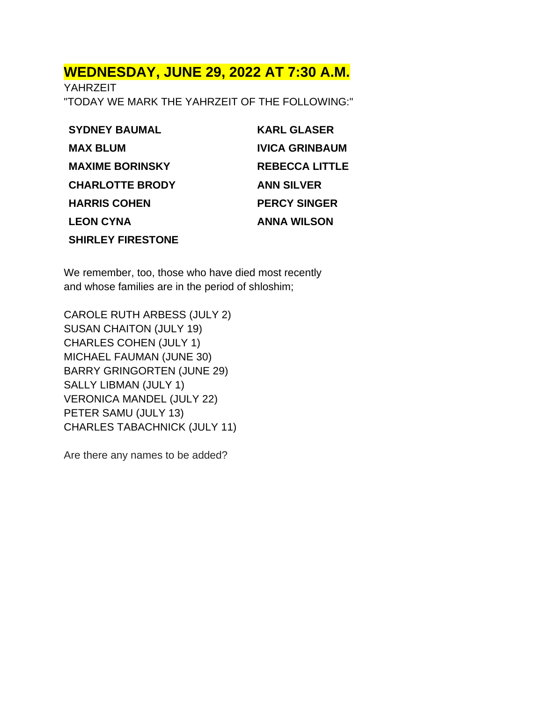### **WEDNESDAY, JUNE 29, 2022 AT 7:30 A.M.**

YAHRZEIT "TODAY WE MARK THE YAHRZEIT OF THE FOLLOWING:"

| <b>SYDNEY BAUMAL</b>     | <b>KARL GLASER</b>    |
|--------------------------|-----------------------|
| <b>MAX BLUM</b>          | <b>IVICA GRINBAUM</b> |
| <b>MAXIME BORINSKY</b>   | <b>REBECCA LITTLE</b> |
| <b>CHARLOTTE BRODY</b>   | <b>ANN SILVER</b>     |
| <b>HARRIS COHEN</b>      | <b>PERCY SINGER</b>   |
| <b>LEON CYNA</b>         | <b>ANNA WILSON</b>    |
| <b>SHIRLEY FIRESTONE</b> |                       |

We remember, too, those who have died most recently and whose families are in the period of shloshim;

CAROLE RUTH ARBESS (JULY 2) SUSAN CHAITON (JULY 19) CHARLES COHEN (JULY 1) MICHAEL FAUMAN (JUNE 30) BARRY GRINGORTEN (JUNE 29) SALLY LIBMAN (JULY 1) VERONICA MANDEL (JULY 22) PETER SAMU (JULY 13) CHARLES TABACHNICK (JULY 11)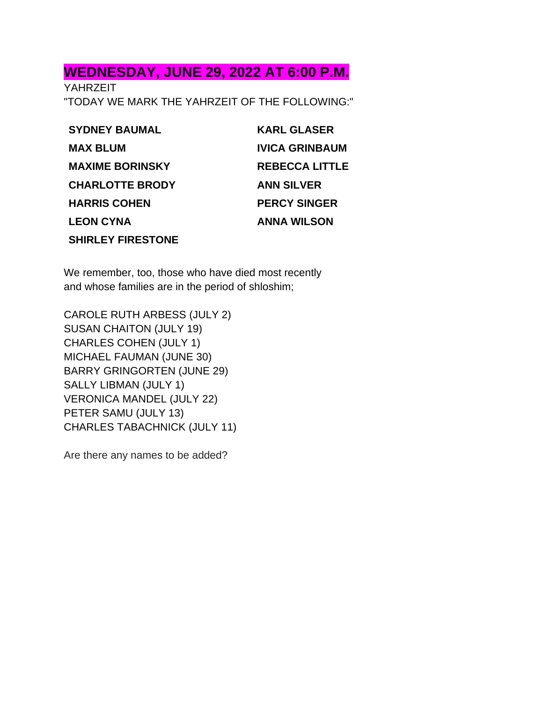# **WEDNESDAY, JUNE 29, 2022 AT 6:00 P.M.**

YAHRZEIT "TODAY WE MARK THE YAHRZEIT OF THE FOLLOWING:"

| <b>SYDNEY BAUMAL</b>     | <b>KARL GLASER</b>    |
|--------------------------|-----------------------|
| <b>MAX BLUM</b>          | <b>IVICA GRINBAUM</b> |
| <b>MAXIME BORINSKY</b>   | <b>REBECCA LITTLE</b> |
| <b>CHARLOTTE BRODY</b>   | <b>ANN SILVER</b>     |
| <b>HARRIS COHEN</b>      | <b>PERCY SINGER</b>   |
| <b>LEON CYNA</b>         | <b>ANNA WILSON</b>    |
| <b>SHIRLEY FIRESTONE</b> |                       |

We remember, too, those who have died most recently and whose families are in the period of shloshim;

CAROLE RUTH ARBESS (JULY 2) SUSAN CHAITON (JULY 19) CHARLES COHEN (JULY 1) MICHAEL FAUMAN (JUNE 30) BARRY GRINGORTEN (JUNE 29) SALLY LIBMAN (JULY 1) VERONICA MANDEL (JULY 22) PETER SAMU (JULY 13) CHARLES TABACHNICK (JULY 11)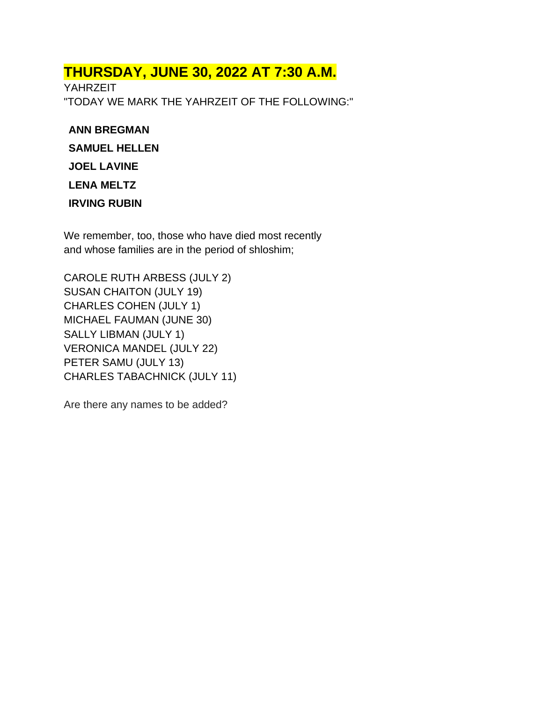# **THURSDAY, JUNE 30, 2022 AT 7:30 A.M.**

YAHRZEIT "TODAY WE MARK THE YAHRZEIT OF THE FOLLOWING:"

#### **ANN BREGMAN**

**SAMUEL HELLEN**

**JOEL LAVINE**

**LENA MELTZ**

**IRVING RUBIN**

We remember, too, those who have died most recently and whose families are in the period of shloshim;

CAROLE RUTH ARBESS (JULY 2) SUSAN CHAITON (JULY 19) CHARLES COHEN (JULY 1) MICHAEL FAUMAN (JUNE 30) SALLY LIBMAN (JULY 1) VERONICA MANDEL (JULY 22) PETER SAMU (JULY 13) CHARLES TABACHNICK (JULY 11)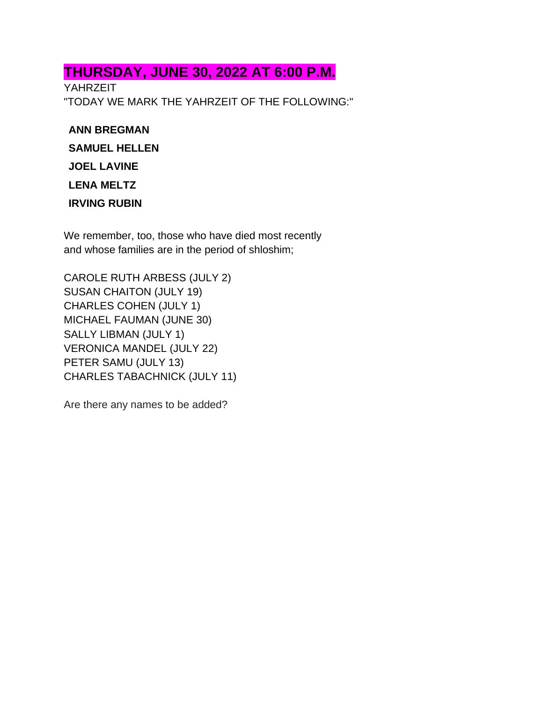# **THURSDAY, JUNE 30, 2022 AT 6:00 P.M.**

YAHRZEIT "TODAY WE MARK THE YAHRZEIT OF THE FOLLOWING:"

#### **ANN BREGMAN**

**SAMUEL HELLEN**

**JOEL LAVINE**

**LENA MELTZ**

**IRVING RUBIN**

We remember, too, those who have died most recently and whose families are in the period of shloshim;

CAROLE RUTH ARBESS (JULY 2) SUSAN CHAITON (JULY 19) CHARLES COHEN (JULY 1) MICHAEL FAUMAN (JUNE 30) SALLY LIBMAN (JULY 1) VERONICA MANDEL (JULY 22) PETER SAMU (JULY 13) CHARLES TABACHNICK (JULY 11)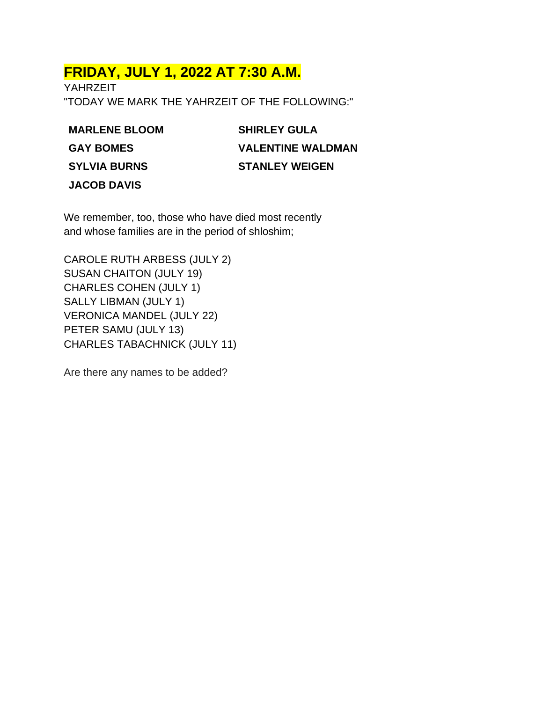# **FRIDAY, JULY 1, 2022 AT 7:30 A.M.**

YAHRZEIT "TODAY WE MARK THE YAHRZEIT OF THE FOLLOWING:"

**MARLENE BLOOM GAY BOMES SYLVIA BURNS JACOB DAVIS**

**SHIRLEY GULA VALENTINE WALDMAN STANLEY WEIGEN**

We remember, too, those who have died most recently and whose families are in the period of shloshim;

CAROLE RUTH ARBESS (JULY 2) SUSAN CHAITON (JULY 19) CHARLES COHEN (JULY 1) SALLY LIBMAN (JULY 1) VERONICA MANDEL (JULY 22) PETER SAMU (JULY 13) CHARLES TABACHNICK (JULY 11)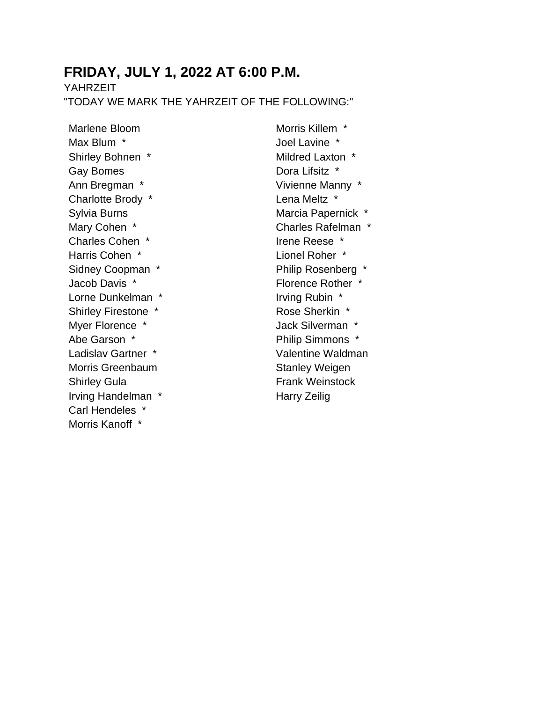## **FRIDAY, JULY 1, 2022 AT 6:00 P.M.**

YAHRZEIT

"TODAY WE MARK THE YAHRZEIT OF THE FOLLOWING:"

Marlene Bloom Max Blum \* Shirley Bohnen \* Gay Bomes Ann Bregman \* Charlotte Brody \* Sylvia Burns Mary Cohen \* Charles Cohen \* Harris Cohen \* Sidney Coopman \* Jacob Davis \* Lorne Dunkelman \* Shirley Firestone \* Myer Florence \* Abe Garson \* Ladislav Gartner \* Morris Greenbaum Shirley Gula Irving Handelman \* Carl Hendeles \* Morris Kanoff \*

Morris Killem \* Joel Lavine \* Mildred Laxton \* Dora Lifsitz \* Vivienne Manny \* Lena Meltz \* Marcia Papernick \* Charles Rafelman \* Irene Reese \* Lionel Roher \* Philip Rosenberg \* Florence Rother \* Irving Rubin \* Rose Sherkin \* Jack Silverman \* Philip Simmons \* Valentine Waldman Stanley Weigen Frank Weinstock Harry Zeilig